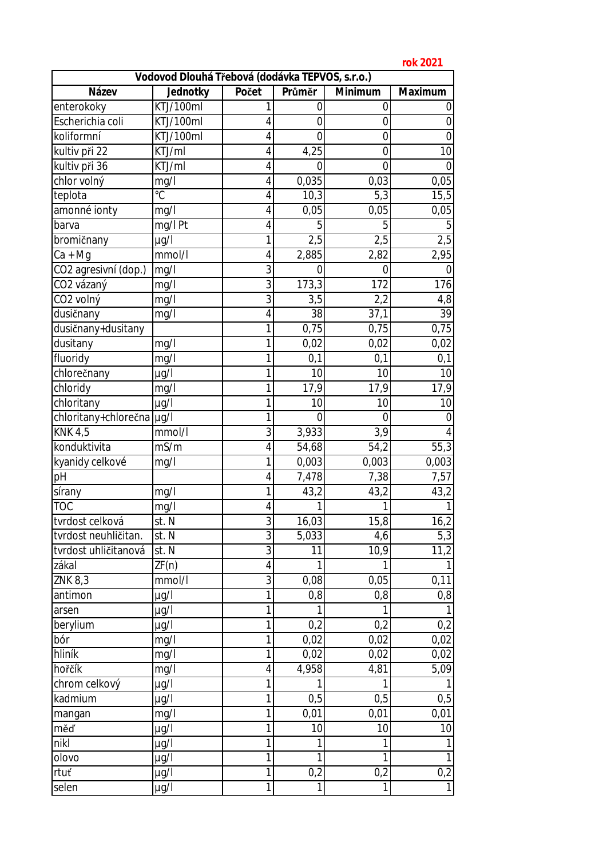**rok 2021**

| 1 UN 2021<br>Vodovod Dlouhá Třebová (dodávka TEPVOS, s.r.o.) |           |                |          |                |                  |  |
|--------------------------------------------------------------|-----------|----------------|----------|----------------|------------------|--|
| Název                                                        | Jednotky  | Počet          | Průměr   | Minimum        | Maximum          |  |
| enterokoky                                                   | KTJ/100ml | 1              | 0        | 0              | 0                |  |
| Escherichia coli                                             | KTJ/100ml | 4              | $\Omega$ | 0              | 0                |  |
| koliformní                                                   | KTJ/100ml | 4              | $\Omega$ | $\overline{0}$ | $\mathbf 0$      |  |
| kultiv při 22                                                | KTJ/ml    | 4              | 4,25     | 0              | 10               |  |
| kultiv při 36                                                | KTJ/ml    | 4              | $\Omega$ | $\overline{0}$ | $\boldsymbol{0}$ |  |
| chlor volný                                                  | mg/l      | 4              | 0,035    | 0,03           | 0,05             |  |
| teplota                                                      | °C        | 4              | 10,3     | 5,3            | 15,5             |  |
| amonné ionty                                                 | mg/l      | $\overline{4}$ | 0,05     | 0,05           | 0,05             |  |
| barva                                                        | mg/l Pt   | 4              | 5        | 5              | 5                |  |
| bromičnany                                                   | µg/l      | 1              | 2,5      | 2,5            | 2,5              |  |
| Ca + Mg                                                      | mmol/H    | 4              | 2,885    | 2,82           | 2,95             |  |
| CO2 agresivní (dop.)                                         | mg/l      | 3              | 0        | 0              | $\mathbf 0$      |  |
| CO2 vázaný                                                   | mg/l      | 3              | 173,3    | 172            | 176              |  |
| CO <sub>2</sub> volný                                        | mg/l      | 3              | 3,5      | 2,2            | 4,8              |  |
| dusičnany                                                    | mg/l      | 4              | 38       | 37,1           | 39               |  |
| dusičnany+dusitany                                           |           | 1              | 0,75     | 0,75           | 0,75             |  |
| dusitany                                                     | mg/l      | 1              | 0,02     | 0,02           | 0,02             |  |
| fluoridy                                                     | mg/l      | 1              | 0,1      | 0,1            | 0,1              |  |
| chlorečnany                                                  | µg/l      | 1              | 10       | 10             | 10               |  |
| chloridy                                                     | mg/l      | 1              | 17,9     | 17,9           | 17,9             |  |
| chloritany                                                   | µg/l      | 1              | 10       | 10             | 10               |  |
| chloritany+chlorečna µg/l                                    |           | 1              | $\Omega$ | $\overline{0}$ | $\overline{0}$   |  |
| <b>KNK 4,5</b>                                               | mmol/l    | 3              | 3,933    | 3,9            | 4                |  |
| konduktivita                                                 | mS/m      | $\overline{4}$ | 54,68    | 54, 2          | 55,3             |  |
| kyanidy celkové                                              | mg/l      | 1              | 0,003    | 0,003          | 0,003            |  |
| pH                                                           |           | 4              | 7,478    | 7,38           | 7,57             |  |
| sírany                                                       | mg/l      | $\mathbf{1}$   | 43,2     | 43,2           | 43,2             |  |
| <b>TOC</b>                                                   | mg/l      | 4              |          |                |                  |  |
| tvrdost celková                                              | st. N     | $\overline{3}$ | 16,03    | 15,8           | 16,2             |  |
| tvrdost neuhličitan.                                         | st. N     | $\overline{3}$ | 5,033    | 4,6            | 5,3              |  |
| tvrdost uhličitanová                                         | st. N     | 3              | 11       | 10,9           | 11,2             |  |
| zákal                                                        | ZF(n)     | 4              |          | 1              | 1                |  |
| ZNK 8,3                                                      | mmol/1    | 3              | 0,08     | 0,05           | 0,11             |  |
| antimon                                                      | µg/l      | 1              | $0,8$    | 0,8            | $0,8$            |  |
| arsen                                                        | µg/l      | 1              |          |                |                  |  |
| berylium                                                     | µg/l      | 1              | 0,2      | 0,2            | 0,2              |  |
| bór                                                          | mg/l      | $\mathbf 1$    | 0,02     | 0,02           | 0,02             |  |
| hliník                                                       | mg/l      | 1              | 0,02     | 0,02           | 0,02             |  |
| hořčík                                                       | mg/l      | 4              | 4,958    | 4,81           | 5,09             |  |
| chrom celkový                                                | µg/l      | 1              |          |                | 1                |  |
| kadmium                                                      | µg/l      | 1              | 0,5      | 0,5            | 0,5              |  |
| mangan                                                       | mg/l      | 1              | 0,01     | 0,01           | 0,01             |  |
| měď                                                          | µg/l      | 1              | 10       | 10             | 10               |  |
| nikl                                                         | µg/l      | 1              |          | 1              |                  |  |
| olovo                                                        | $\mu$ g/l | 1              |          | 1              | 1                |  |
| rtuť                                                         | µg/l      | $\overline{1}$ | 0,2      | 0,2            | 0,2              |  |
| selen                                                        | µg/l      | 1              |          |                | 1                |  |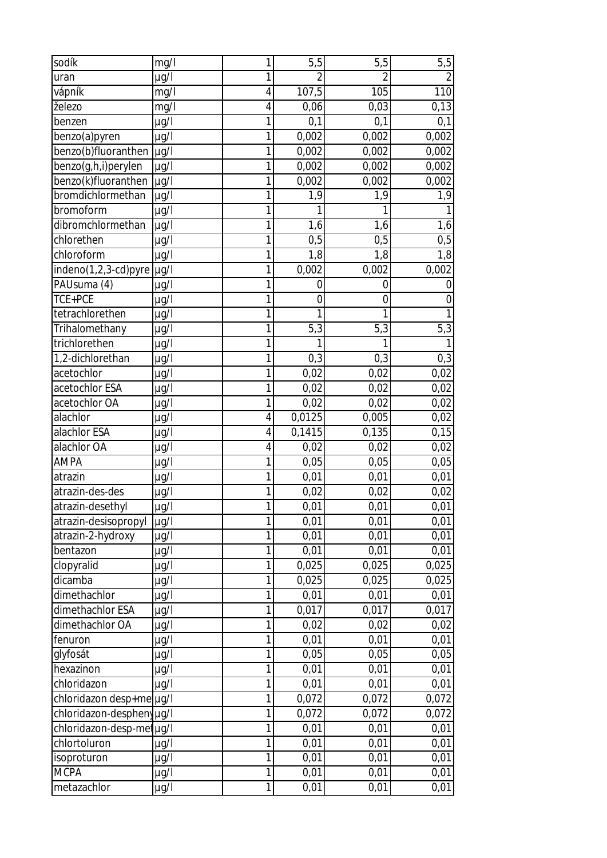| sodík                       | mg/l      | 1              | 5,5            | 5,5            | 5,5            |
|-----------------------------|-----------|----------------|----------------|----------------|----------------|
| uran                        | $\mu$ g/l | 1              | $\overline{2}$ | $\overline{2}$ | $\overline{2}$ |
| vápník                      | mg/l      | $\overline{4}$ | 107,5          | 105            | 110            |
| železo                      | mg/l      | $\overline{4}$ | 0,06           | 0,03           | 0,13           |
| benzen                      | µg/l      | 1              | 0,1            | 0,1            | 0,1            |
| benzo(a)pyren               | $\mu$ g/l | 1              | 0,002          | 0,002          | 0,002          |
| benzo(b)fluoranthen         | $\mu$ g/l | 1              | 0,002          | 0,002          | 0,002          |
| benzo(g,h,i)perylen         | $\mu$ g/l | 1              | 0,002          | 0,002          | 0,002          |
| benzo(k)fluoranthen         | $\mu$ g/l | 1              | 0,002          | 0,002          | 0,002          |
| bromdichlormethan           | µg/l      | 1              | 1,9            | 1,9            | 1,9            |
| bromoform                   | $\mu$ g/l | 1              | 1              |                |                |
| dibromchlormethan           | $\mu$ g/l | 1              | 1,6            | 1,6            | 1,6            |
| chlorethen                  | $\mu$ g/l | 1              | 0,5            | 0,5            | 0,5            |
| chloroform                  | $\mu$ g/l | 1              | 1,8            | 1,8            | 1,8            |
| $indeno(1,2,3-cd)pyre$ µg/l |           | 1              | 0,002          | 0,002          | 0,002          |
| PAUsuma (4)                 | $\mu$ g/l | 1              | $\overline{0}$ | $\overline{0}$ | $\mathbf 0$    |
| TCE+PCE                     | $\mu$ g/l | 1              | $\overline{0}$ | 0              | $\mathbf 0$    |
| tetrachlorethen             | $\mu$ g/l | 1              | 1              | 1              | 1              |
| Trihalomethany              | $\mu$ g/l | 1              | 5,3            | 5,3            | 5,3            |
| trichlorethen               | $\mu$ g/l | 1              |                |                |                |
| 1,2-dichlorethan            | $\mu$ g/l | 1              | 0,3            | 0,3            | 0,3            |
| acetochlor                  | $\mu$ g/l | 1              | 0,02           | 0,02           | 0,02           |
| acetochlor ESA              | $\mu$ g/l | 1              | 0,02           | 0,02           | 0,02           |
| acetochlor OA               | µg/l      | 1              | 0,02           | 0,02           | 0,02           |
| alachlor                    | $\mu$ g/l | 4              | 0,0125         | 0,005          | 0,02           |
| alachlor ESA                | $\mu$ g/l | $\overline{4}$ | 0,1415         | 0,135          | 0,15           |
| alachlor OA                 | $\mu$ g/l | 4              | 0,02           | 0,02           | 0,02           |
| <b>AMPA</b>                 | $\mu$ g/l | 1              | 0,05           | 0,05           | 0,05           |
| atrazin                     | $\mu$ g/l | 1              | 0,01           | 0,01           | 0,01           |
| atrazin-des-des             | $\mu$ g/l | 1              | 0,02           | 0,02           | 0,02           |
| atrazin-desethyl            | $\mu$ g/l | 1              | 0,01           | 0,01           | 0,01           |
| atrazin-desisopropyl        | µg/l      | 1              | 0,01           | 0,01           | 0,01           |
| atrazin-2-hydroxy           | $\mu$ g/l | 1              | 0,01           | 0,01           | 0,01           |
| bentazon                    | $\mu$ g/l | 1              | 0,01           | 0,01           | 0,01           |
| clopyralid                  | $\mu$ g/l | 1              | 0,025          | 0,025          | 0,025          |
| dicamba                     | µg/l      | 1              | 0,025          | 0,025          | 0,025          |
| dimethachlor                | $\mu$ g/l | 1              | 0,01           | 0,01           | 0,01           |
| dimethachlor ESA            | $\mu$ g/l | 1              | 0,017          | 0,017          | 0,017          |
| dimethachlor OA             | $\mu$ g/l | 1              | 0,02           | 0,02           | 0,02           |
| fenuron                     | $\mu$ g/l | 1              | 0,01           | 0,01           | 0,01           |
| glyfosát                    | µg/l      | 1              | 0,05           | 0,05           | 0,05           |
| hexazinon                   | $\mu$ g/l | 1              | 0,01           | 0,01           | 0,01           |
| chloridazon                 | $\mu$ g/l | 1              | 0,01           | 0,01           | 0,01           |
| chloridazon desp+me µg/l    |           | 1              | 0,072          | 0,072          | 0,072          |
| chloridazon-desphenyug/l    |           | 1              | 0,072          | 0,072          | 0,072          |
| chloridazon-desp-metug/l    |           | 1              | 0,01           | 0,01           | 0,01           |
| chlortoluron                | $\mu$ g/l | 1              | 0,01           | 0,01           | 0,01           |
| isoproturon                 | µg/l      | 1              | 0,01           | 0,01           | 0,01           |
| <b>MCPA</b>                 | $\mu$ g/l | 1              | 0,01           | 0,01           | 0,01           |
| metazachlor                 | µg/l      | 1              | 0,01           | 0,01           | 0,01           |